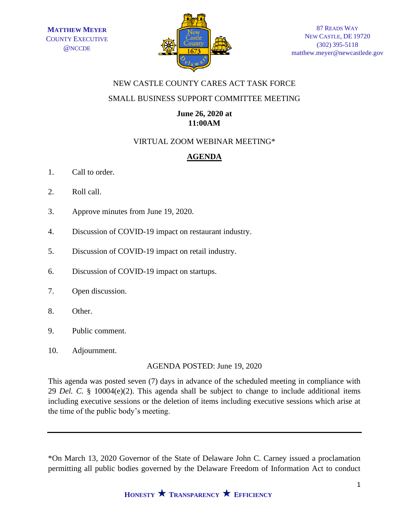

## NEW CASTLE COUNTY CARES ACT TASK FORCE

## SMALL BUSINESS SUPPORT COMMITTEE MEETING

## **June 26, 2020 at 11:00AM**

# VIRTUAL ZOOM WEBINAR MEETING\*

# **AGENDA**

- 1. Call to order.
- 2. Roll call.
- 3. Approve minutes from June 19, 2020.
- 4. Discussion of COVID-19 impact on restaurant industry.
- 5. Discussion of COVID-19 impact on retail industry.
- 6. Discussion of COVID-19 impact on startups.
- 7. Open discussion.
- 8. Other.
- 9. Public comment.
- 10. Adjournment.

AGENDA POSTED: June 19, 2020

This agenda was posted seven (7) days in advance of the scheduled meeting in compliance with 29 *Del. C.* § 10004(e)(2). This agenda shall be subject to change to include additional items including executive sessions or the deletion of items including executive sessions which arise at the time of the public body's meeting.

\*On March 13, 2020 Governor of the State of Delaware John C. Carney issued a proclamation permitting all public bodies governed by the Delaware Freedom of Information Act to conduct